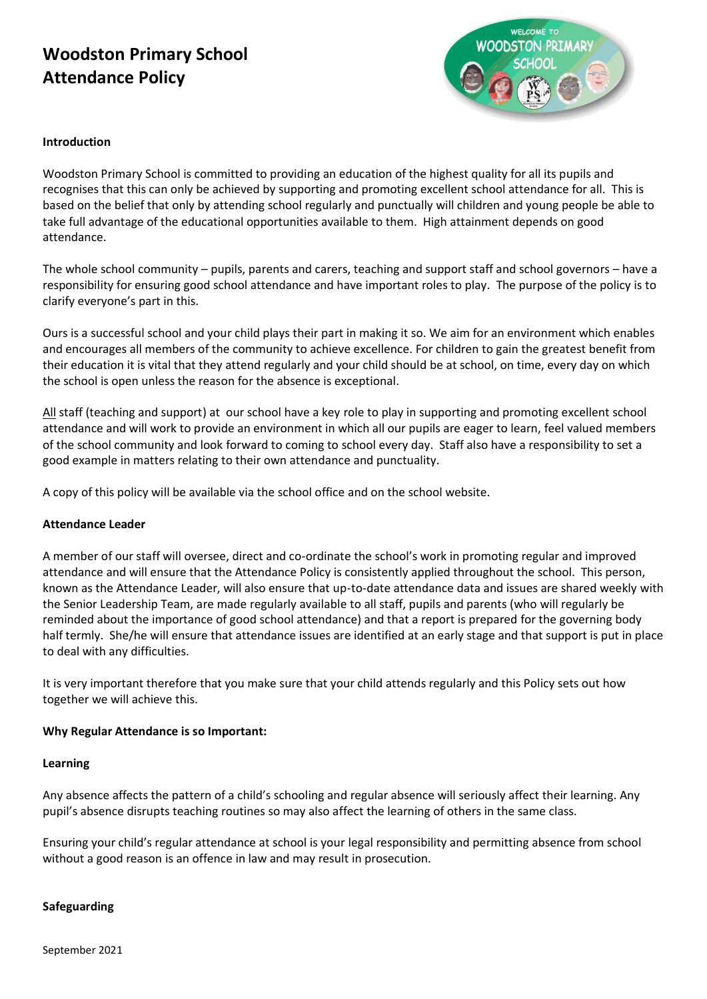# **Woodston Primary School Attendance Policy**



#### **Introduction**

Woodston Primary School is committed to providing an education of the highest quality for all its pupils and recognises that this can only be achieved by supporting and promoting excellent school attendance for all. This is based on the belief that only by attending school regularly and punctually will children and young people be able to take full advantage of the educational opportunities available to them. High attainment depends on good attendance.

The whole school community – pupils, parents and carers, teaching and support staff and school governors – have a responsibility for ensuring good school attendance and have important roles to play. The purpose of the policy is to clarify everyone's part in this.

Ours is a successful school and your child plays their part in making it so. We aim for an environment which enables and encourages all members of the community to achieve excellence. For children to gain the greatest benefit from their education it is vital that they attend regularly and your child should be at school, on time, every day on which the school is open unless the reason for the absence is exceptional.

All staff (teaching and support) at our school have a key role to play in supporting and promoting excellent school attendance and will work to provide an environment in which all our pupils are eager to learn, feel valued members of the school community and look forward to coming to school every day. Staff also have a responsibility to set a good example in matters relating to their own attendance and punctuality.

A copy of this policy will be available via the school office and on the school website.

## **Attendance Leader**

A member of our staff will oversee, direct and co-ordinate the school's work in promoting regular and improved attendance and will ensure that the Attendance Policy is consistently applied throughout the school. This person, known as the Attendance Leader, will also ensure that up-to-date attendance data and issues are shared weekly with the Senior Leadership Team, are made regularly available to all staff, pupils and parents (who will regularly be reminded about the importance of good school attendance) and that a report is prepared for the governing body half termly. She/he will ensure that attendance issues are identified at an early stage and that support is put in place to deal with any difficulties.

It is very important therefore that you make sure that your child attends regularly and this Policy sets out how together we will achieve this.

## **Why Regular Attendance is so Important:**

#### **Learning**

Any absence affects the pattern of a child's schooling and regular absence will seriously affect their learning. Any pupil's absence disrupts teaching routines so may also affect the learning of others in the same class.

Ensuring your child's regular attendance at school is your legal responsibility and permitting absence from school without a good reason is an offence in law and may result in prosecution.

#### **Safeguarding**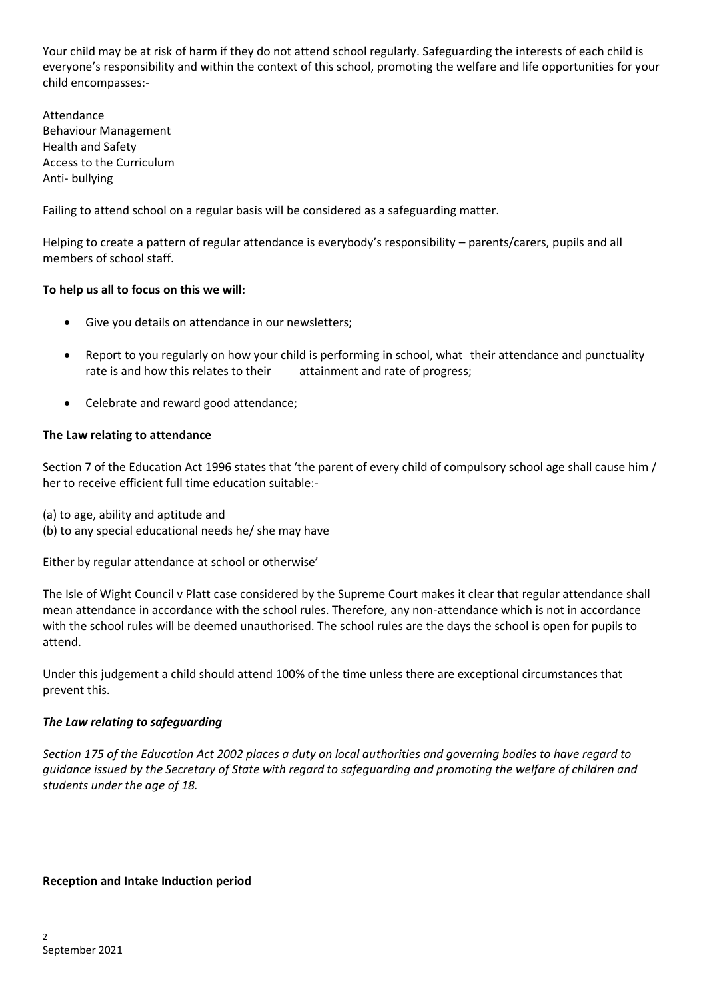Your child may be at risk of harm if they do not attend school regularly. Safeguarding the interests of each child is everyone's responsibility and within the context of this school, promoting the welfare and life opportunities for your child encompasses:-

Attendance Behaviour Management Health and Safety Access to the Curriculum Anti- bullying

Failing to attend school on a regular basis will be considered as a safeguarding matter.

Helping to create a pattern of regular attendance is everybody's responsibility – parents/carers, pupils and all members of school staff.

# **To help us all to focus on this we will:**

- Give you details on attendance in our newsletters;
- Report to you regularly on how your child is performing in school, what their attendance and punctuality rate is and how this relates to their attainment and rate of progress;
- Celebrate and reward good attendance;

# **The Law relating to attendance**

Section 7 of the Education Act 1996 states that 'the parent of every child of compulsory school age shall cause him / her to receive efficient full time education suitable:-

- (a) to age, ability and aptitude and
- (b) to any special educational needs he/ she may have

Either by regular attendance at school or otherwise'

The Isle of Wight Council v Platt case considered by the Supreme Court makes it clear that regular attendance shall mean attendance in accordance with the school rules. Therefore, any non-attendance which is not in accordance with the school rules will be deemed unauthorised. The school rules are the days the school is open for pupils to attend.

Under this judgement a child should attend 100% of the time unless there are exceptional circumstances that prevent this.

# *The Law relating to safeguarding*

*Section 175 of the Education Act 2002 places a duty on local authorities and governing bodies to have regard to guidance issued by the Secretary of State with regard to safeguarding and promoting the welfare of children and students under the age of 18.* 

## **Reception and Intake Induction period**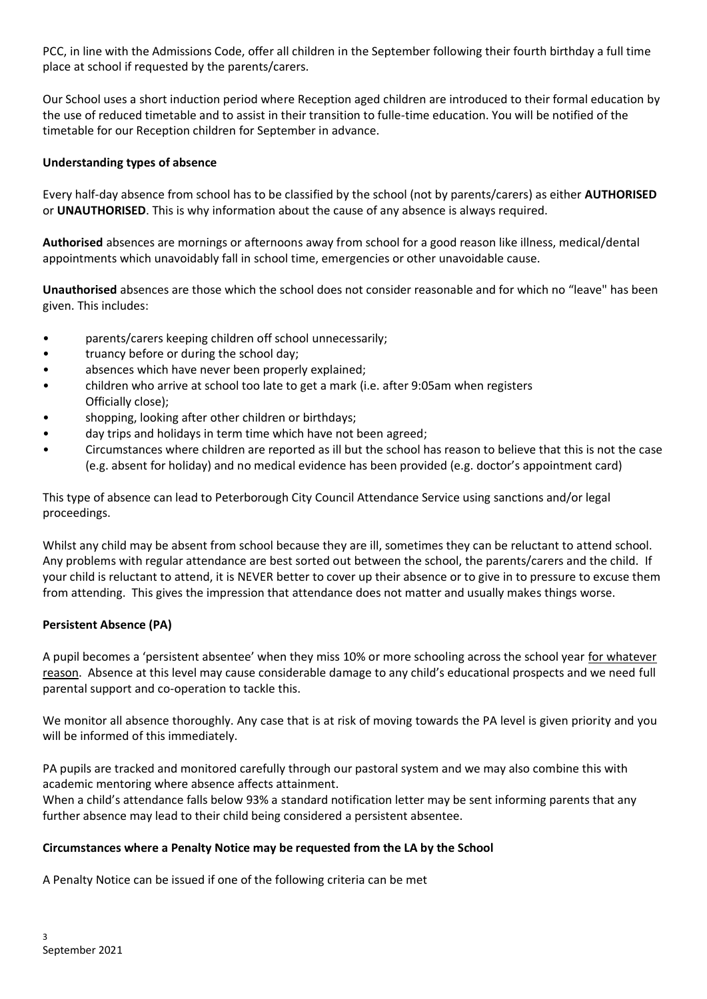PCC, in line with the Admissions Code, offer all children in the September following their fourth birthday a full time place at school if requested by the parents/carers.

Our School uses a short induction period where Reception aged children are introduced to their formal education by the use of reduced timetable and to assist in their transition to fulle-time education. You will be notified of the timetable for our Reception children for September in advance.

# **Understanding types of absence**

Every half-day absence from school has to be classified by the school (not by parents/carers) as either **AUTHORISED** or **UNAUTHORISED**. This is why information about the cause of any absence is always required.

**Authorised** absences are mornings or afternoons away from school for a good reason like illness, medical/dental appointments which unavoidably fall in school time, emergencies or other unavoidable cause.

**Unauthorised** absences are those which the school does not consider reasonable and for which no "leave" has been given. This includes:

- parents/carers keeping children off school unnecessarily;
- truancy before or during the school day;
- absences which have never been properly explained;
- children who arrive at school too late to get a mark (i.e. after 9:05am when registers Officially close);
- shopping, looking after other children or birthdays;
- day trips and holidays in term time which have not been agreed;
- Circumstances where children are reported as ill but the school has reason to believe that this is not the case (e.g. absent for holiday) and no medical evidence has been provided (e.g. doctor's appointment card)

This type of absence can lead to Peterborough City Council Attendance Service using sanctions and/or legal proceedings.

Whilst any child may be absent from school because they are ill, sometimes they can be reluctant to attend school. Any problems with regular attendance are best sorted out between the school, the parents/carers and the child. If your child is reluctant to attend, it is NEVER better to cover up their absence or to give in to pressure to excuse them from attending. This gives the impression that attendance does not matter and usually makes things worse.

# **Persistent Absence (PA)**

A pupil becomes a 'persistent absentee' when they miss 10% or more schooling across the school year for whatever reason. Absence at this level may cause considerable damage to any child's educational prospects and we need full parental support and co-operation to tackle this.

We monitor all absence thoroughly. Any case that is at risk of moving towards the PA level is given priority and you will be informed of this immediately.

PA pupils are tracked and monitored carefully through our pastoral system and we may also combine this with academic mentoring where absence affects attainment.

When a child's attendance falls below 93% a standard notification letter may be sent informing parents that any further absence may lead to their child being considered a persistent absentee.

# **Circumstances where a Penalty Notice may be requested from the LA by the School**

A Penalty Notice can be issued if one of the following criteria can be met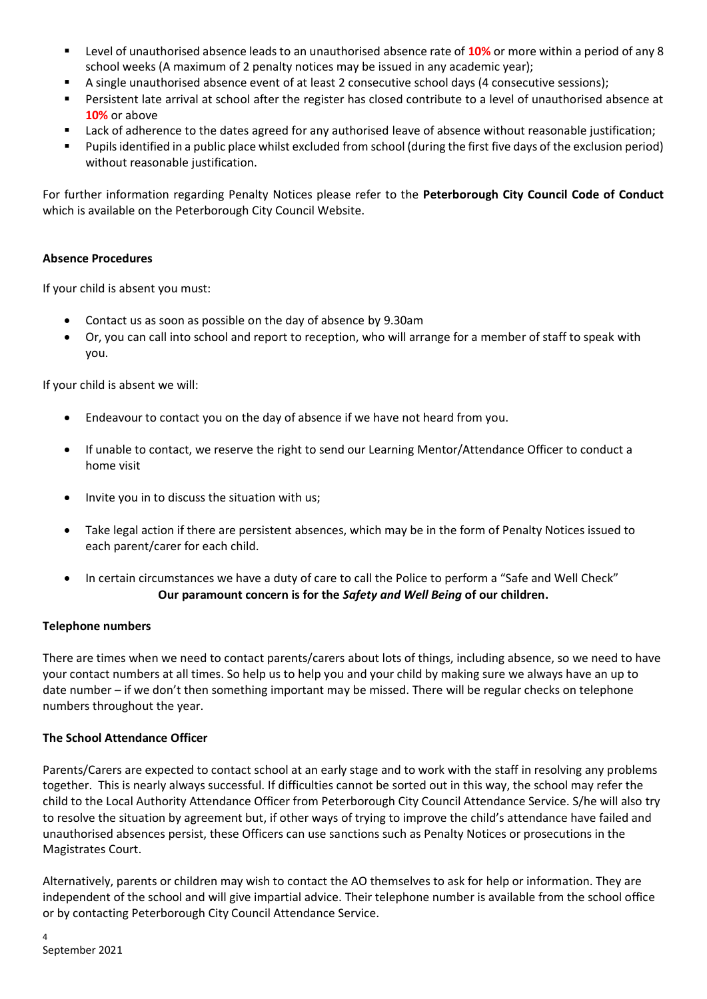- Level of unauthorised absence leads to an unauthorised absence rate of **10%** or more within a period of any 8 school weeks (A maximum of 2 penalty notices may be issued in any academic year);
- A single unauthorised absence event of at least 2 consecutive school days (4 consecutive sessions);
- Persistent late arrival at school after the register has closed contribute to a level of unauthorised absence at **10%** or above
- Lack of adherence to the dates agreed for any authorised leave of absence without reasonable justification;
- Pupils identified in a public place whilst excluded from school (during the first five days of the exclusion period) without reasonable justification.

For further information regarding Penalty Notices please refer to the **Peterborough City Council Code of Conduct**  which is available on the Peterborough City Council Website.

# **Absence Procedures**

If your child is absent you must:

- Contact us as soon as possible on the day of absence by 9.30am
- Or, you can call into school and report to reception, who will arrange for a member of staff to speak with you.

If your child is absent we will:

- Endeavour to contact you on the day of absence if we have not heard from you.
- If unable to contact, we reserve the right to send our Learning Mentor/Attendance Officer to conduct a home visit
- Invite you in to discuss the situation with us;
- Take legal action if there are persistent absences, which may be in the form of Penalty Notices issued to each parent/carer for each child.
- In certain circumstances we have a duty of care to call the Police to perform a "Safe and Well Check" **Our paramount concern is for the** *Safety and Well Being* **of our children.**

# **Telephone numbers**

There are times when we need to contact parents/carers about lots of things, including absence, so we need to have your contact numbers at all times. So help us to help you and your child by making sure we always have an up to date number – if we don't then something important may be missed. There will be regular checks on telephone numbers throughout the year.

# **The School Attendance Officer**

Parents/Carers are expected to contact school at an early stage and to work with the staff in resolving any problems together. This is nearly always successful. If difficulties cannot be sorted out in this way, the school may refer the child to the Local Authority Attendance Officer from Peterborough City Council Attendance Service. S/he will also try to resolve the situation by agreement but, if other ways of trying to improve the child's attendance have failed and unauthorised absences persist, these Officers can use sanctions such as Penalty Notices or prosecutions in the Magistrates Court.

Alternatively, parents or children may wish to contact the AO themselves to ask for help or information. They are independent of the school and will give impartial advice. Their telephone number is available from the school office or by contacting Peterborough City Council Attendance Service.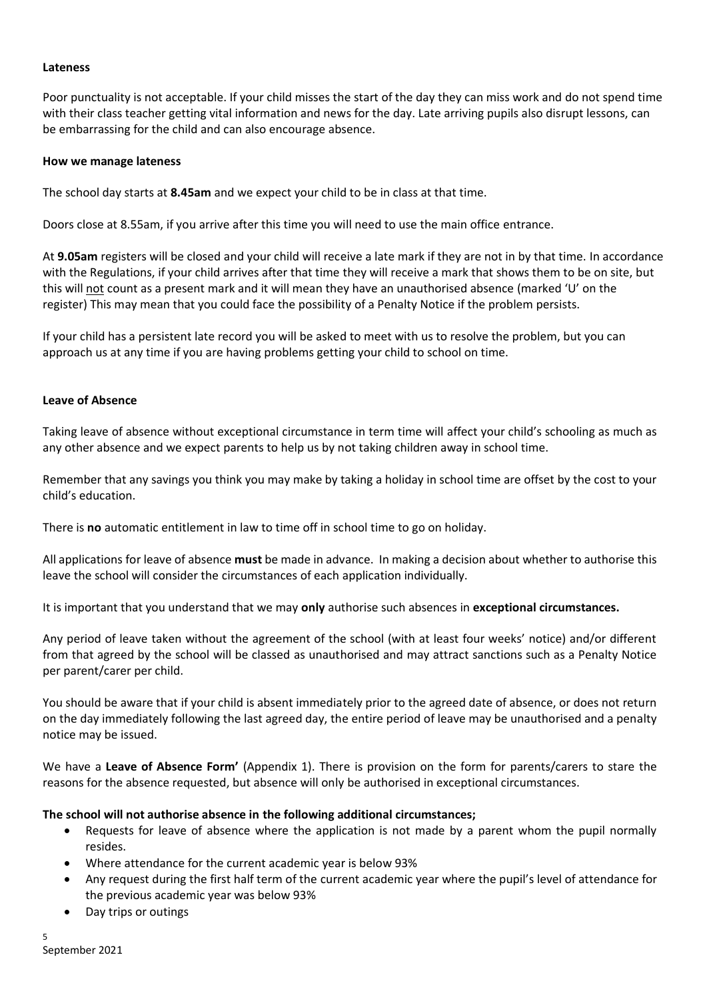#### **Lateness**

Poor punctuality is not acceptable. If your child misses the start of the day they can miss work and do not spend time with their class teacher getting vital information and news for the day. Late arriving pupils also disrupt lessons, can be embarrassing for the child and can also encourage absence.

#### **How we manage lateness**

The school day starts at **8.45am** and we expect your child to be in class at that time.

Doors close at 8.55am, if you arrive after this time you will need to use the main office entrance.

At **9.05am** registers will be closed and your child will receive a late mark if they are not in by that time. In accordance with the Regulations, if your child arrives after that time they will receive a mark that shows them to be on site, but this will not count as a present mark and it will mean they have an unauthorised absence (marked 'U' on the register) This may mean that you could face the possibility of a Penalty Notice if the problem persists.

If your child has a persistent late record you will be asked to meet with us to resolve the problem, but you can approach us at any time if you are having problems getting your child to school on time.

## **Leave of Absence**

Taking leave of absence without exceptional circumstance in term time will affect your child's schooling as much as any other absence and we expect parents to help us by not taking children away in school time.

Remember that any savings you think you may make by taking a holiday in school time are offset by the cost to your child's education.

There is **no** automatic entitlement in law to time off in school time to go on holiday.

All applications for leave of absence **must** be made in advance. In making a decision about whether to authorise this leave the school will consider the circumstances of each application individually.

It is important that you understand that we may **only** authorise such absences in **exceptional circumstances.**

Any period of leave taken without the agreement of the school (with at least four weeks' notice) and/or different from that agreed by the school will be classed as unauthorised and may attract sanctions such as a Penalty Notice per parent/carer per child.

You should be aware that if your child is absent immediately prior to the agreed date of absence, or does not return on the day immediately following the last agreed day, the entire period of leave may be unauthorised and a penalty notice may be issued.

We have a Leave of Absence Form' (Appendix 1). There is provision on the form for parents/carers to stare the reasons for the absence requested, but absence will only be authorised in exceptional circumstances.

## **The school will not authorise absence in the following additional circumstances;**

- Requests for leave of absence where the application is not made by a parent whom the pupil normally resides.
- Where attendance for the current academic year is below 93%
- Any request during the first half term of the current academic year where the pupil's level of attendance for the previous academic year was below 93%
- Day trips or outings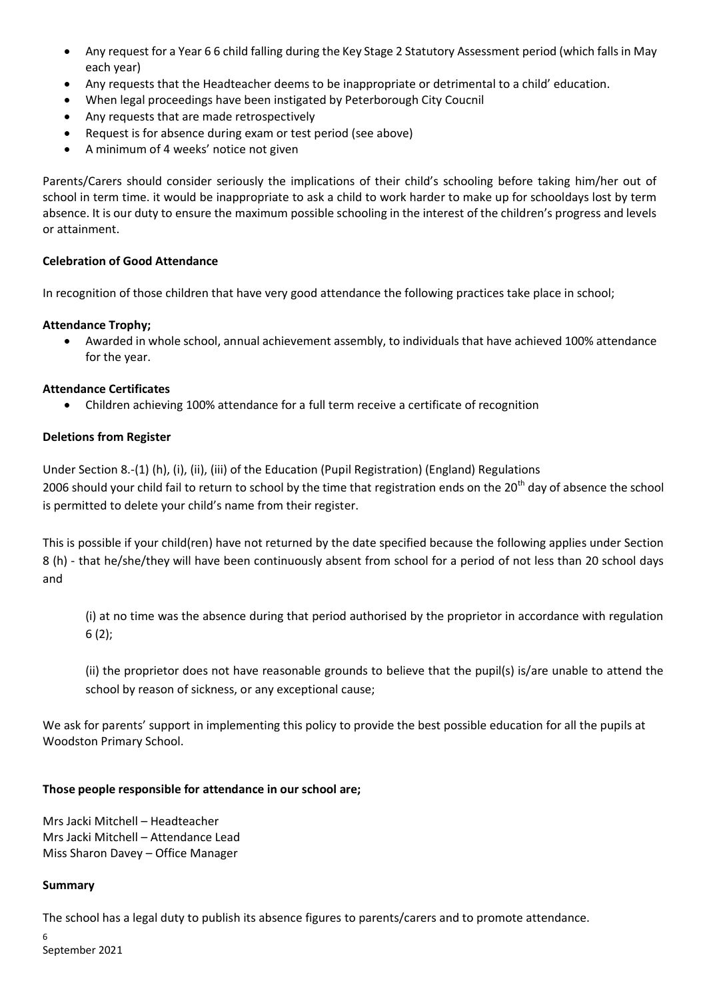- Any request for a Year 6 6 child falling during the Key Stage 2 Statutory Assessment period (which falls in May each year)
- Any requests that the Headteacher deems to be inappropriate or detrimental to a child' education.
- When legal proceedings have been instigated by Peterborough City Coucnil
- Any requests that are made retrospectively
- Request is for absence during exam or test period (see above)
- A minimum of 4 weeks' notice not given

Parents/Carers should consider seriously the implications of their child's schooling before taking him/her out of school in term time. it would be inappropriate to ask a child to work harder to make up for schooldays lost by term absence. It is our duty to ensure the maximum possible schooling in the interest of the children's progress and levels or attainment.

# **Celebration of Good Attendance**

In recognition of those children that have very good attendance the following practices take place in school;

# **Attendance Trophy;**

• Awarded in whole school, annual achievement assembly, to individuals that have achieved 100% attendance for the year.

# **Attendance Certificates**

• Children achieving 100% attendance for a full term receive a certificate of recognition

# **Deletions from Register**

Under Section 8.-(1) (h), (i), (ii), (iii) of the Education (Pupil Registration) (England) Regulations 2006 should your child fail to return to school by the time that registration ends on the 20<sup>th</sup> day of absence the school is permitted to delete your child's name from their register.

This is possible if your child(ren) have not returned by the date specified because the following applies under Section 8 (h) - that he/she/they will have been continuously absent from school for a period of not less than 20 school days and

(i) at no time was the absence during that period authorised by the proprietor in accordance with regulation 6 (2);

(ii) the proprietor does not have reasonable grounds to believe that the pupil(s) is/are unable to attend the school by reason of sickness, or any exceptional cause;

We ask for parents' support in implementing this policy to provide the best possible education for all the pupils at Woodston Primary School.

## **Those people responsible for attendance in our school are;**

Mrs Jacki Mitchell – Headteacher Mrs Jacki Mitchell – Attendance Lead Miss Sharon Davey – Office Manager

## **Summary**

The school has a legal duty to publish its absence figures to parents/carers and to promote attendance.

6 September 2021